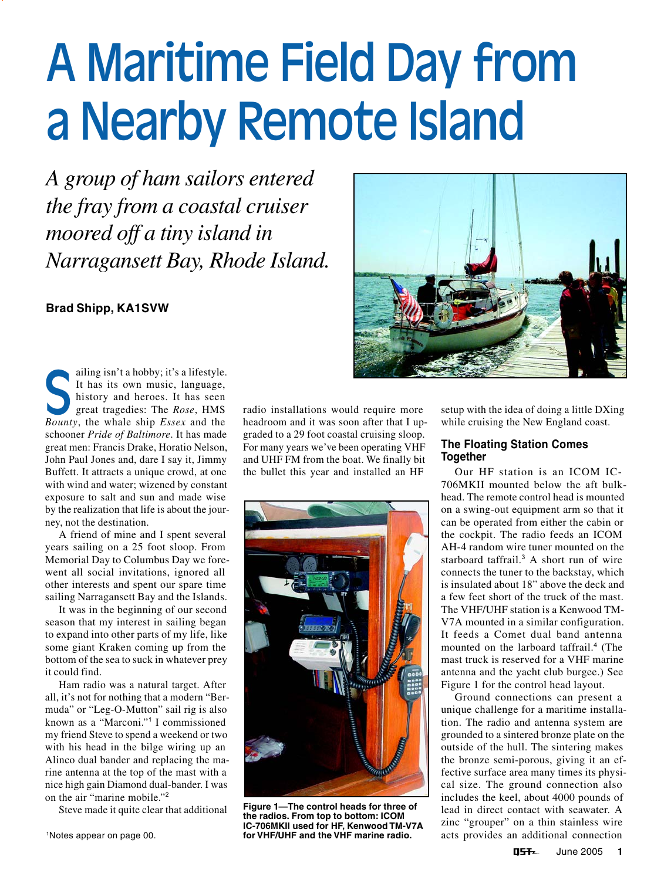# A Maritime Field Day from a Nearby Remote Island

*A group of ham sailors entered the fray from a coastal cruiser moored off a tiny island in Narragansett Bay, Rhode Island.*

# **Brad Shipp, KA1SVW**

ailing isn't a hobby; it's a lifestyle. It has its own music, language, history and heroes. It has seen great tragedies: The *Rose*, HMS **Boundary** alling isn't a hobby; it's a lifestyle.<br>
It has its own music, language, history and heroes. It has seen<br>
great tragedies: The *Rose*, HMS<br> *Bounty*, the whale ship *Essex* and the schooner *Pride of Baltimore*. It has made great men: Francis Drake, Horatio Nelson, John Paul Jones and, dare I say it, Jimmy Buffett. It attracts a unique crowd, at one with wind and water; wizened by constant exposure to salt and sun and made wise by the realization that life is about the journey, not the destination.

A friend of mine and I spent several years sailing on a 25 foot sloop. From Memorial Day to Columbus Day we forewent all social invitations, ignored all other interests and spent our spare time sailing Narragansett Bay and the Islands.

It was in the beginning of our second season that my interest in sailing began to expand into other parts of my life, like some giant Kraken coming up from the bottom of the sea to suck in whatever prey it could find.

Ham radio was a natural target. After all, it's not for nothing that a modern "Bermuda" or "Leg-O-Mutton" sail rig is also known as a "Marconi."<sup>1</sup> I commissioned my friend Steve to spend a weekend or two with his head in the bilge wiring up an Alinco dual bander and replacing the marine antenna at the top of the mast with a nice high gain Diamond dual-bander. I was on the air "marine mobile."<sup>2</sup>

Steve made it quite clear that additional

radio installations would require more headroom and it was soon after that I upgraded to a 29 foot coastal cruising sloop. For many years we've been operating VHF and UHF FM from the boat. We finally bit the bullet this year and installed an HF



**Figure 1—The control heads for three of the radios. From top to bottom: ICOM IC-706MKII used for HF, Kenwood TM-V7A for VHF/UHF and the VHF marine radio.**



setup with the idea of doing a little DXing while cruising the New England coast.

### **The Floating Station Comes Together**

Our HF station is an ICOM IC-706MKII mounted below the aft bulkhead. The remote control head is mounted on a swing-out equipment arm so that it can be operated from either the cabin or the cockpit. The radio feeds an ICOM AH-4 random wire tuner mounted on the starboard taffrail.<sup>3</sup> A short run of wire connects the tuner to the backstay, which is insulated about 18" above the deck and a few feet short of the truck of the mast. The VHF/UHF station is a Kenwood TM-V7A mounted in a similar configuration. It feeds a Comet dual band antenna mounted on the larboard taffrail.<sup>4</sup> (The mast truck is reserved for a VHF marine antenna and the yacht club burgee.) See Figure 1 for the control head layout.

Ground connections can present a unique challenge for a maritime installation. The radio and antenna system are grounded to a sintered bronze plate on the outside of the hull. The sintering makes the bronze semi-porous, giving it an effective surface area many times its physical size. The ground connection also includes the keel, about 4000 pounds of lead in direct contact with seawater. A zinc "grouper" on a thin stainless wire acts provides an additional connection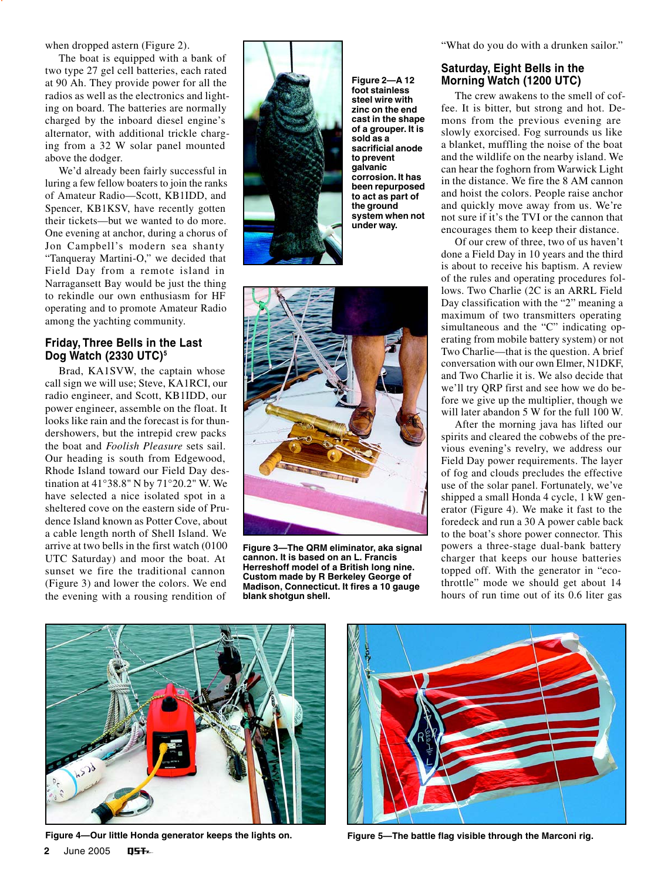when dropped astern (Figure 2).

The boat is equipped with a bank of two type 27 gel cell batteries, each rated at 90 Ah. They provide power for all the radios as well as the electronics and lighting on board. The batteries are normally charged by the inboard diesel engine's alternator, with additional trickle charging from a 32 W solar panel mounted above the dodger.

We'd already been fairly successful in luring a few fellow boaters to join the ranks of Amateur Radio—Scott, KB1IDD, and Spencer, KB1KSV, have recently gotten their tickets—but we wanted to do more. One evening at anchor, during a chorus of Jon Campbell's modern sea shanty "Tanqueray Martini-O," we decided that Field Day from a remote island in Narragansett Bay would be just the thing to rekindle our own enthusiasm for HF operating and to promote Amateur Radio among the yachting community.

### **Friday, Three Bells in the Last Dog Watch (2330 UTC)**<sup>5</sup>

Brad, KA1SVW, the captain whose call sign we will use; Steve, KA1RCI, our radio engineer, and Scott, KB1IDD, our power engineer, assemble on the float. It looks like rain and the forecast is for thundershowers, but the intrepid crew packs the boat and *Foolish Pleasure* sets sail. Our heading is south from Edgewood, Rhode Island toward our Field Day destination at 41°38.8" N by 71°20.2" W. We have selected a nice isolated spot in a sheltered cove on the eastern side of Prudence Island known as Potter Cove, about a cable length north of Shell Island. We arrive at two bells in the first watch (0100 UTC Saturday) and moor the boat. At sunset we fire the traditional cannon (Figure 3) and lower the colors. We end the evening with a rousing rendition of



**Figure 2—A 12 foot stainless steel wire with zinc on the end cast in the shape of a grouper. It is sold as a sacrificial anode to prevent galvanic corrosion. It has been repurposed to act as part of the ground system when not under way.**



**Figure 3—The QRM eliminator, aka signal cannon. It is based on an L. Francis Herreshoff model of a British long nine. Custom made by R Berkeley George of Madison, Connecticut. It fires a 10 gauge blank shotgun shell.**

"What do you do with a drunken sailor."

# **Saturday, Eight Bells in the Morning Watch (1200 UTC)**

The crew awakens to the smell of coffee. It is bitter, but strong and hot. Demons from the previous evening are slowly exorcised. Fog surrounds us like a blanket, muffling the noise of the boat and the wildlife on the nearby island. We can hear the foghorn from Warwick Light in the distance. We fire the 8 AM cannon and hoist the colors. People raise anchor and quickly move away from us. We're not sure if it's the TVI or the cannon that encourages them to keep their distance.

Of our crew of three, two of us haven't done a Field Day in 10 years and the third is about to receive his baptism. A review of the rules and operating procedures follows. Two Charlie (2C is an ARRL Field Day classification with the "2" meaning a maximum of two transmitters operating simultaneous and the "C" indicating operating from mobile battery system) or not Two Charlie—that is the question. A brief conversation with our own Elmer, N1DKF, and Two Charlie it is. We also decide that we'll try QRP first and see how we do before we give up the multiplier, though we will later abandon 5 W for the full 100 W.

After the morning java has lifted our spirits and cleared the cobwebs of the previous evening's revelry, we address our Field Day power requirements. The layer of fog and clouds precludes the effective use of the solar panel. Fortunately, we've shipped a small Honda 4 cycle, 1 kW generator (Figure 4). We make it fast to the foredeck and run a 30 A power cable back to the boat's shore power connector. This powers a three-stage dual-bank battery charger that keeps our house batteries topped off. With the generator in "ecothrottle" mode we should get about 14 hours of run time out of its 0.6 liter gas



**2** June 2005 **OST~** 



**Figure 4—Our little Honda generator keeps the lights on. Figure 5—The battle flag visible through the Marconi rig.**